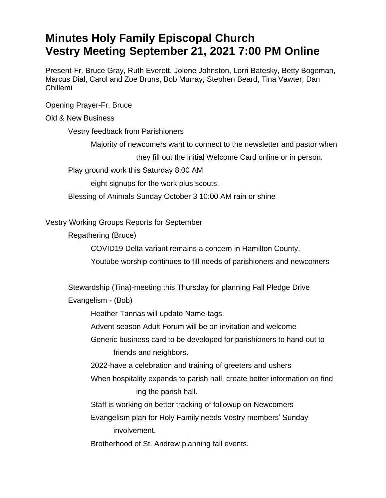## **Minutes Holy Family Episcopal Church Vestry Meeting September 21, 2021 7:00 PM Online**

Present-Fr. Bruce Gray, Ruth Everett, Jolene Johnston, Lorri Batesky, Betty Bogeman, Marcus Dial, Carol and Zoe Bruns, Bob Murray, Stephen Beard, Tina Vawter, Dan Chillemi

Opening Prayer-Fr. Bruce

## Old & New Business

Vestry feedback from Parishioners

Majority of newcomers want to connect to the newsletter and pastor when

they fill out the initial Welcome Card online or in person.

Play ground work this Saturday 8:00 AM

eight signups for the work plus scouts.

Blessing of Animals Sunday October 3 10:00 AM rain or shine

Vestry Working Groups Reports for September

Regathering (Bruce)

COVID19 Delta variant remains a concern in Hamilton County.

Youtube worship continues to fill needs of parishioners and newcomers

Stewardship (Tina)-meeting this Thursday for planning Fall Pledge Drive

Evangelism - (Bob)

Heather Tannas will update Name-tags.

Advent season Adult Forum will be on invitation and welcome

Generic business card to be developed for parishioners to hand out to friends and neighbors.

2022-have a celebration and training of greeters and ushers

When hospitality expands to parish hall, create better information on find ing the parish hall.

Staff is working on better tracking of followup on Newcomers

Evangelism plan for Holy Family needs Vestry members' Sunday involvement.

Brotherhood of St. Andrew planning fall events.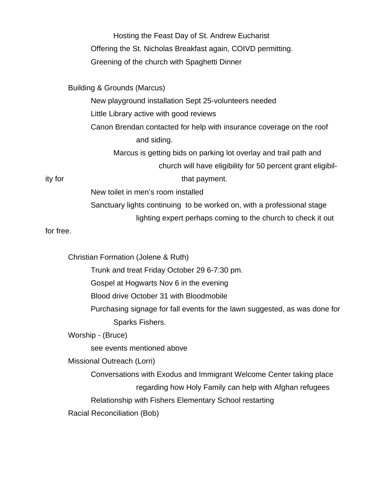Hosting the Feast Day of St. Andrew Eucharist Offering the St. Nicholas Breakfast again, COIVD permitting. Greening of the church with Spaghetti Dinner

Building & Grounds (Marcus)

New playground installation Sept 25-volunteers needed Little Library active with good reviews Canon Brendan contacted for help with insurance coverage on the roof and siding. Marcus is getting bids on parking lot overlay and trail path and church will have eligibility for 50 percent grant eligibility for that payment.

New toilet in men's room installed

Sanctuary lights continuing to be worked on, with a professional stage

lighting expert perhaps coming to the church to check it out

for free.

Christian Formation (Jolene & Ruth)

Trunk and treat Friday October 29 6-7:30 pm.

Gospel at Hogwarts Nov 6 in the evening

Blood drive October 31 with Bloodmobile

Purchasing signage for fall events for the lawn suggested, as was done for Sparks Fishers.

Worship - (Bruce)

see events mentioned above

Missional Outreach (Lorri)

Conversations with Exodus and Immigrant Welcome Center taking place

regarding how Holy Family can help with Afghan refugees

Relationship with Fishers Elementary School restarting

Racial Reconciliation (Bob)